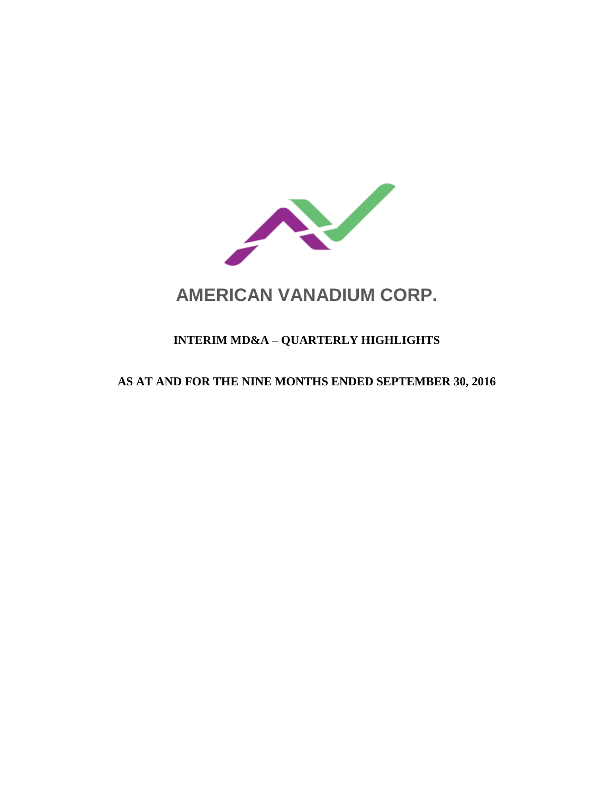

# **AMERICAN VANADIUM CORP.**

# **INTERIM MD&A – QUARTERLY HIGHLIGHTS**

# **AS AT AND FOR THE NINE MONTHS ENDED SEPTEMBER 30, 2016**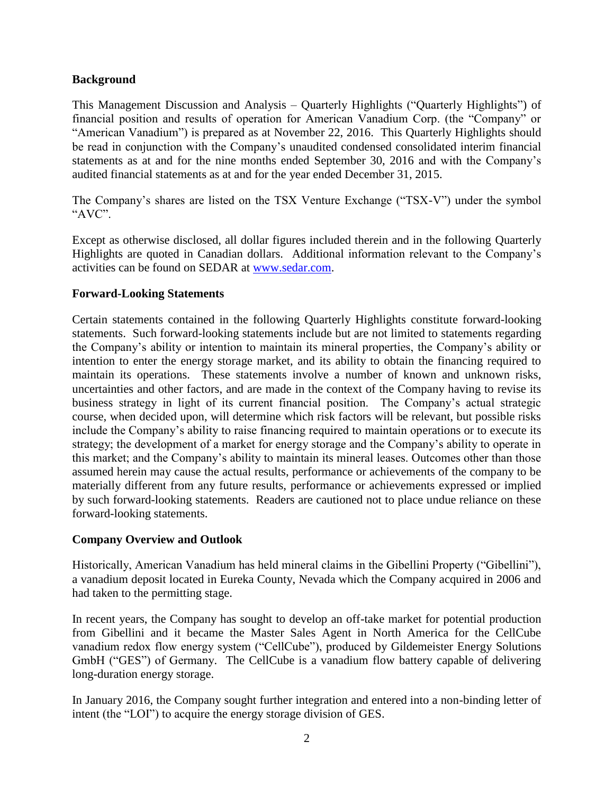# **Background**

This Management Discussion and Analysis – Quarterly Highlights ("Quarterly Highlights") of financial position and results of operation for American Vanadium Corp. (the "Company" or "American Vanadium") is prepared as at November 22, 2016. This Quarterly Highlights should be read in conjunction with the Company's unaudited condensed consolidated interim financial statements as at and for the nine months ended September 30, 2016 and with the Company's audited financial statements as at and for the year ended December 31, 2015.

The Company's shares are listed on the TSX Venture Exchange ("TSX-V") under the symbol "AVC".

Except as otherwise disclosed, all dollar figures included therein and in the following Quarterly Highlights are quoted in Canadian dollars. Additional information relevant to the Company's activities can be found on SEDAR at [www.sedar.com.](http://www.sedar.com/)

# **Forward-Looking Statements**

Certain statements contained in the following Quarterly Highlights constitute forward-looking statements. Such forward-looking statements include but are not limited to statements regarding the Company's ability or intention to maintain its mineral properties, the Company's ability or intention to enter the energy storage market, and its ability to obtain the financing required to maintain its operations. These statements involve a number of known and unknown risks, uncertainties and other factors, and are made in the context of the Company having to revise its business strategy in light of its current financial position. The Company's actual strategic course, when decided upon, will determine which risk factors will be relevant, but possible risks include the Company's ability to raise financing required to maintain operations or to execute its strategy; the development of a market for energy storage and the Company's ability to operate in this market; and the Company's ability to maintain its mineral leases. Outcomes other than those assumed herein may cause the actual results, performance or achievements of the company to be materially different from any future results, performance or achievements expressed or implied by such forward-looking statements. Readers are cautioned not to place undue reliance on these forward-looking statements.

### **Company Overview and Outlook**

Historically, American Vanadium has held mineral claims in the Gibellini Property ("Gibellini"), a vanadium deposit located in Eureka County, Nevada which the Company acquired in 2006 and had taken to the permitting stage.

In recent years, the Company has sought to develop an off-take market for potential production from Gibellini and it became the Master Sales Agent in North America for the CellCube vanadium redox flow energy system ("CellCube"), produced by Gildemeister Energy Solutions GmbH ("GES") of Germany. The CellCube is a vanadium flow battery capable of delivering long-duration energy storage.

In January 2016, the Company sought further integration and entered into a non-binding letter of intent (the "LOI") to acquire the energy storage division of GES.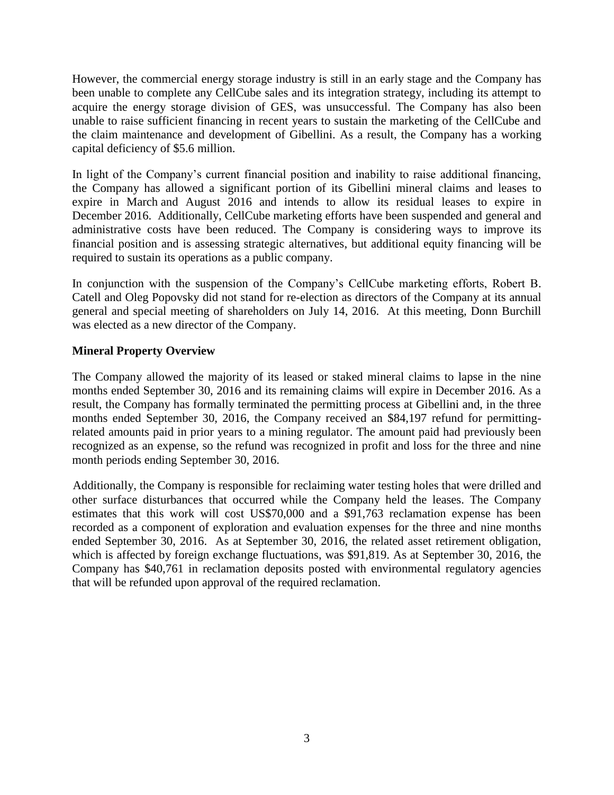However, the commercial energy storage industry is still in an early stage and the Company has been unable to complete any CellCube sales and its integration strategy, including its attempt to acquire the energy storage division of GES, was unsuccessful. The Company has also been unable to raise sufficient financing in recent years to sustain the marketing of the CellCube and the claim maintenance and development of Gibellini. As a result, the Company has a working capital deficiency of \$5.6 million.

In light of the Company's current financial position and inability to raise additional financing, the Company has allowed a significant portion of its Gibellini mineral claims and leases to expire in March and August 2016 and intends to allow its residual leases to expire in December 2016. Additionally, CellCube marketing efforts have been suspended and general and administrative costs have been reduced. The Company is considering ways to improve its financial position and is assessing strategic alternatives, but additional equity financing will be required to sustain its operations as a public company.

In conjunction with the suspension of the Company's CellCube marketing efforts, Robert B. Catell and Oleg Popovsky did not stand for re-election as directors of the Company at its annual general and special meeting of shareholders on July 14, 2016. At this meeting, Donn Burchill was elected as a new director of the Company.

# **Mineral Property Overview**

The Company allowed the majority of its leased or staked mineral claims to lapse in the nine months ended September 30, 2016 and its remaining claims will expire in December 2016. As a result, the Company has formally terminated the permitting process at Gibellini and, in the three months ended September 30, 2016, the Company received an \$84,197 refund for permittingrelated amounts paid in prior years to a mining regulator. The amount paid had previously been recognized as an expense, so the refund was recognized in profit and loss for the three and nine month periods ending September 30, 2016.

Additionally, the Company is responsible for reclaiming water testing holes that were drilled and other surface disturbances that occurred while the Company held the leases. The Company estimates that this work will cost US\$70,000 and a \$91,763 reclamation expense has been recorded as a component of exploration and evaluation expenses for the three and nine months ended September 30, 2016. As at September 30, 2016, the related asset retirement obligation, which is affected by foreign exchange fluctuations, was \$91,819. As at September 30, 2016, the Company has \$40,761 in reclamation deposits posted with environmental regulatory agencies that will be refunded upon approval of the required reclamation.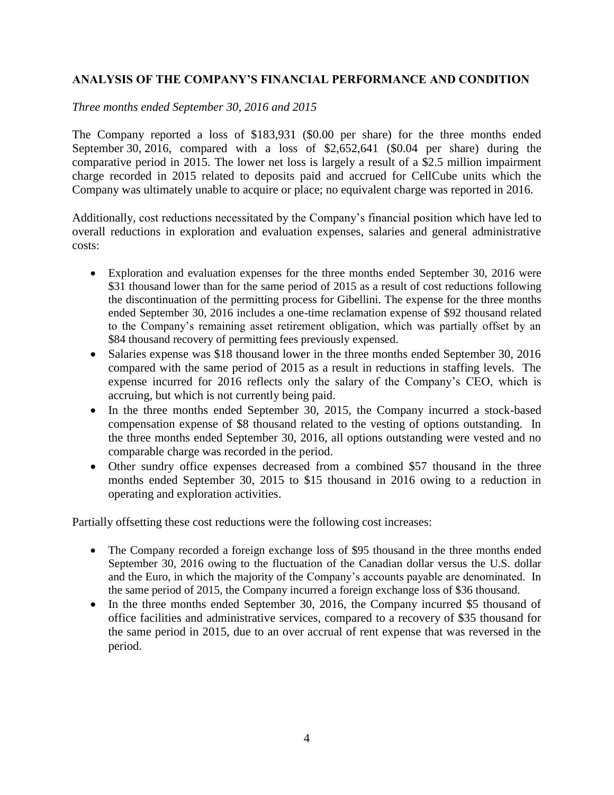# **ANALYSIS OF THE COMPANY'S FINANCIAL PERFORMANCE AND CONDITION**

*Three months ended September 30, 2016 and 2015*

The Company reported a loss of \$183,931 (\$0.00 per share) for the three months ended September 30, 2016, compared with a loss of \$2,652,641 (\$0.04 per share) during the comparative period in 2015. The lower net loss is largely a result of a \$2.5 million impairment charge recorded in 2015 related to deposits paid and accrued for CellCube units which the Company was ultimately unable to acquire or place; no equivalent charge was reported in 2016.

Additionally, cost reductions necessitated by the Company's financial position which have led to overall reductions in exploration and evaluation expenses, salaries and general administrative costs:

- Exploration and evaluation expenses for the three months ended September 30, 2016 were \$31 thousand lower than for the same period of 2015 as a result of cost reductions following the discontinuation of the permitting process for Gibellini. The expense for the three months ended September 30, 2016 includes a one-time reclamation expense of \$92 thousand related to the Company's remaining asset retirement obligation, which was partially offset by an \$84 thousand recovery of permitting fees previously expensed.
- Salaries expense was \$18 thousand lower in the three months ended September 30, 2016 compared with the same period of 2015 as a result in reductions in staffing levels. The expense incurred for 2016 reflects only the salary of the Company's CEO, which is accruing, but which is not currently being paid.
- In the three months ended September 30, 2015, the Company incurred a stock-based compensation expense of \$8 thousand related to the vesting of options outstanding. In the three months ended September 30, 2016, all options outstanding were vested and no comparable charge was recorded in the period.
- Other sundry office expenses decreased from a combined \$57 thousand in the three months ended September 30, 2015 to \$15 thousand in 2016 owing to a reduction in operating and exploration activities.

Partially offsetting these cost reductions were the following cost increases:

- The Company recorded a foreign exchange loss of \$95 thousand in the three months ended September 30, 2016 owing to the fluctuation of the Canadian dollar versus the U.S. dollar and the Euro, in which the majority of the Company's accounts payable are denominated. In the same period of 2015, the Company incurred a foreign exchange loss of \$36 thousand.
- In the three months ended September 30, 2016, the Company incurred \$5 thousand of office facilities and administrative services, compared to a recovery of \$35 thousand for the same period in 2015, due to an over accrual of rent expense that was reversed in the period.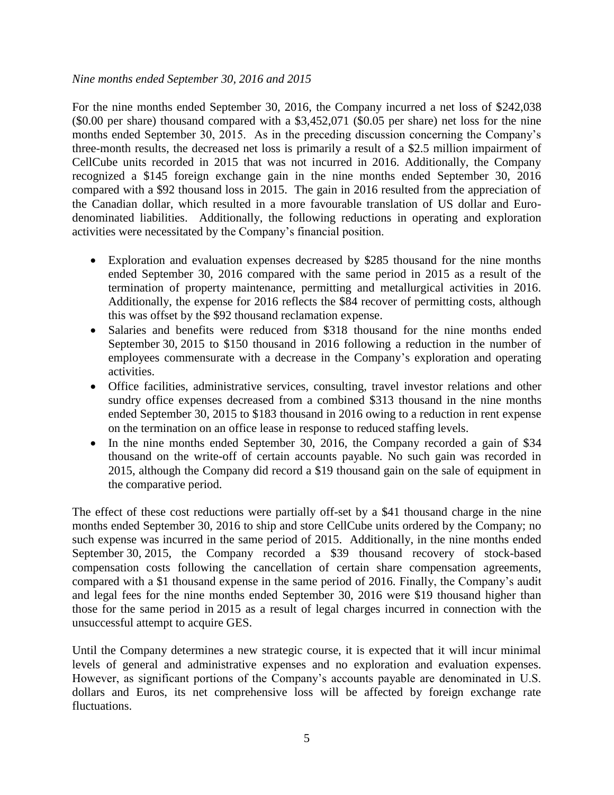#### *Nine months ended September 30, 2016 and 2015*

For the nine months ended September 30, 2016, the Company incurred a net loss of \$242,038 (\$0.00 per share) thousand compared with a \$3,452,071 (\$0.05 per share) net loss for the nine months ended September 30, 2015. As in the preceding discussion concerning the Company's three-month results, the decreased net loss is primarily a result of a \$2.5 million impairment of CellCube units recorded in 2015 that was not incurred in 2016. Additionally, the Company recognized a \$145 foreign exchange gain in the nine months ended September 30, 2016 compared with a \$92 thousand loss in 2015. The gain in 2016 resulted from the appreciation of the Canadian dollar, which resulted in a more favourable translation of US dollar and Eurodenominated liabilities. Additionally, the following reductions in operating and exploration activities were necessitated by the Company's financial position.

- Exploration and evaluation expenses decreased by \$285 thousand for the nine months ended September 30, 2016 compared with the same period in 2015 as a result of the termination of property maintenance, permitting and metallurgical activities in 2016. Additionally, the expense for 2016 reflects the \$84 recover of permitting costs, although this was offset by the \$92 thousand reclamation expense.
- Salaries and benefits were reduced from \$318 thousand for the nine months ended September 30, 2015 to \$150 thousand in 2016 following a reduction in the number of employees commensurate with a decrease in the Company's exploration and operating activities.
- Office facilities, administrative services, consulting, travel investor relations and other sundry office expenses decreased from a combined \$313 thousand in the nine months ended September 30, 2015 to \$183 thousand in 2016 owing to a reduction in rent expense on the termination on an office lease in response to reduced staffing levels.
- In the nine months ended September 30, 2016, the Company recorded a gain of \$34 thousand on the write-off of certain accounts payable. No such gain was recorded in 2015, although the Company did record a \$19 thousand gain on the sale of equipment in the comparative period.

The effect of these cost reductions were partially off-set by a \$41 thousand charge in the nine months ended September 30, 2016 to ship and store CellCube units ordered by the Company; no such expense was incurred in the same period of 2015. Additionally, in the nine months ended September 30, 2015, the Company recorded a \$39 thousand recovery of stock-based compensation costs following the cancellation of certain share compensation agreements, compared with a \$1 thousand expense in the same period of 2016. Finally, the Company's audit and legal fees for the nine months ended September 30, 2016 were \$19 thousand higher than those for the same period in 2015 as a result of legal charges incurred in connection with the unsuccessful attempt to acquire GES.

Until the Company determines a new strategic course, it is expected that it will incur minimal levels of general and administrative expenses and no exploration and evaluation expenses. However, as significant portions of the Company's accounts payable are denominated in U.S. dollars and Euros, its net comprehensive loss will be affected by foreign exchange rate fluctuations.